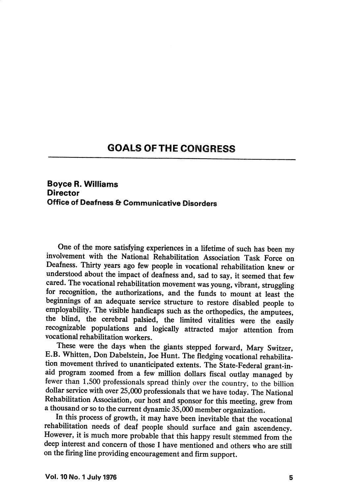## GOALS OFTHE CONGRESS

## Boyce R. Williams **Director** Office of Deafness & Communicative Disorders

One of the more satisfying experiences in a lifetime of such has been my involvement with the National Rehabilitation Association Task Force on Deafness. Thirty years ago few people in vocational rehabilitation knew or understood about the impact of deafness and, sad to say, it seemed that few cared. The vocational rehabilitation movement was young, vibrant, struggling for recognition, the authorizations, and the funds to mount at least the beginnings of an adequate service structure to restore disabled people to employability. The visible handicaps such as the orthopedics, the amputees, the blind, the cerebral palsied, the limited vitalities were the easily recognizable populations and logically attracted major attention from vocational rehabilitation workers.

These were the days when the giants stepped forward, Mary Switzer, E.B. Whitten, Don Dabelstein, Joe Hunt. The fledging vocational rehabilita tion movement thrived to unanticipated extents. The State-Federal grant-inaid program zoomed from a few million dollars fiscal outlay managed by fewer than 1,500 professionals spread thinly over the country, to the billion dollar service with over 25,000 professionals that we have today. The National Rehabilitation Association, our host and sponsor for this meeting, grew from a thousand or so to the current dynamic 35,000 member organization.

In this process of growth, it may have been inevitable that the vocational rehabilitation needs of deaf people should surface and gain ascendency. However, it is much more probable that this happy result stemmed from the deep interest and concern of those I have mentioned and others who are still on the firing line providing encouragement and firm support.